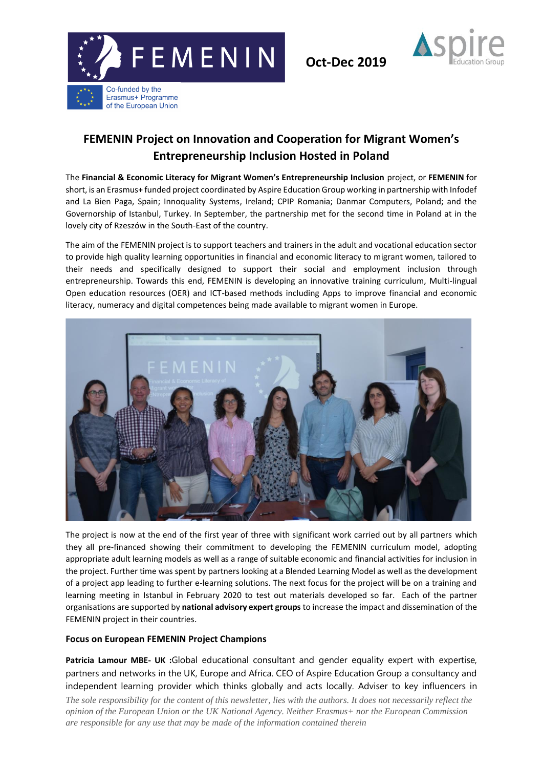

**Oct-Dec 2019**



## **FEMENIN Project on Innovation and Cooperation for Migrant Women's Entrepreneurship Inclusion Hosted in Poland**

The **Financial & Economic Literacy for Migrant Women's Entrepreneurship Inclusion** project, or **FEMENIN** for short, is an Erasmus+ funded project coordinated by Aspire Education Group working in partnership with Infodef and La Bien Paga, Spain; Innoquality Systems, Ireland; CPIP Romania; Danmar Computers, Poland; and the Governorship of Istanbul, Turkey. In September, the partnership met for the second time in Poland at in the lovely city of Rzeszów in the South-East of the country.

The aim of the FEMENIN project is to support teachers and trainers in the adult and vocational education sector to provide high quality learning opportunities in financial and economic literacy to migrant women, tailored to their needs and specifically designed to support their social and employment inclusion through entrepreneurship. Towards this end, FEMENIN is developing an innovative training curriculum, Multi-lingual Open education resources (OER) and ICT-based methods including Apps to improve financial and economic literacy, numeracy and digital competences being made available to migrant women in Europe.



The project is now at the end of the first year of three with significant work carried out by all partners which they all pre-financed showing their commitment to developing the FEMENIN curriculum model, adopting appropriate adult learning models as well as a range of suitable economic and financial activities for inclusion in the project. Further time was spent by partners looking at a Blended Learning Model as well as the development of a project app leading to further e-learning solutions. The next focus for the project will be on a training and learning meeting in Istanbul in February 2020 to test out materials developed so far. Each of the partner organisations are supported by **national advisory expert groups** to increase the impact and dissemination of the FEMENIN project in their countries.

## **Focus on European FEMENIN Project Champions**

**Patricia Lamour MBE- UK :**Global educational consultant and gender equality expert with expertise, partners and networks in the UK, Europe and Africa. CEO of Aspire Education Group a consultancy and independent learning provider which thinks globally and acts locally. Adviser to key influencers in

*The sole responsibility for the content of this newsletter, lies with the authors. It does not necessarily reflect the opinion of the European Union or the UK National Agency. Neither Erasmus+ nor the European Commission are responsible for any use that may be made of the information contained therein*